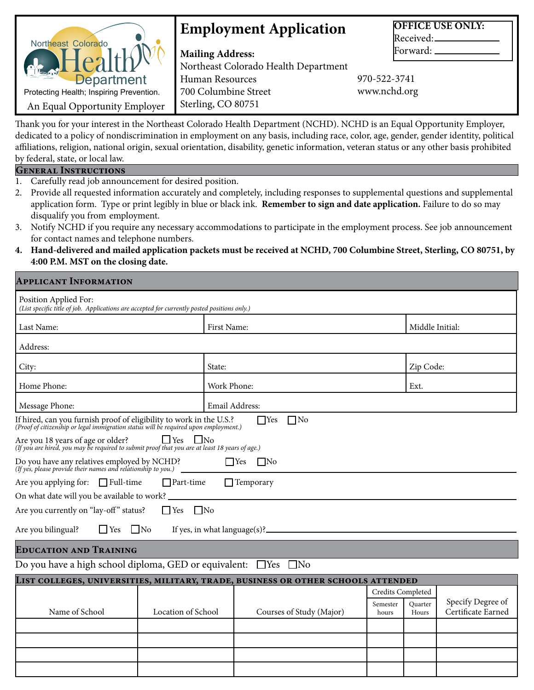| Northeast Colorado                       | <b>Employment Application</b>        |              | <b>OFFICE USE ONLY:</b><br>Received: |
|------------------------------------------|--------------------------------------|--------------|--------------------------------------|
|                                          | <b>Mailing Address:</b>              |              | Forward:                             |
|                                          | Northeast Colorado Health Department |              |                                      |
| <b>Department</b>                        | Human Resources                      | 970-522-3741 |                                      |
| Protecting Health; Inspiring Prevention. | 700 Columbine Street                 | www.nchd.org |                                      |
| An Equal Opportunity Employer            | Sterling, CO 80751                   |              |                                      |

Thank you for your interest in the Northeast Colorado Health Department (NCHD). NCHD is an Equal Opportunity Employer, dedicated to a policy of nondiscrimination in employment on any basis, including race, color, age, gender, gender identity, political affiliations, religion, national origin, sexual orientation, disability, genetic information, veteran status or any other basis prohibited by federal, state, or local law.

| <b>GENERAL INSTRUCTIONS</b> |
|-----------------------------|
|-----------------------------|

- 1. Carefully read job announcement for desired position.
- 2. Provide all requested information accurately and completely, including responses to supplemental questions and supplemental application form. Type or print legibly in blue or black ink. **Remember to sign and date application.** Failure to do so may disqualify you from employment.
- 3. Notify NCHD if you require any necessary accommodations to participate in the employment process. See job announcement for contact names and telephone numbers.
- **4. Hand-delivered and mailed application packets must be received at NCHD, 700 Columbine Street, Sterling, CO 80751, by 4:00 P.M. MST on the closing date.**

#### **Applicant Information**

| Position Applied For:<br>(List specific title of job. Applications are accepted for currently posted positions only.)                                       |                         |                                                                                  |                   |                  |                                         |  |
|-------------------------------------------------------------------------------------------------------------------------------------------------------------|-------------------------|----------------------------------------------------------------------------------|-------------------|------------------|-----------------------------------------|--|
| Last Name:                                                                                                                                                  | First Name:             |                                                                                  |                   |                  |                                         |  |
| Address:                                                                                                                                                    |                         |                                                                                  |                   |                  |                                         |  |
| City:                                                                                                                                                       | State:                  |                                                                                  | Zip Code:         |                  |                                         |  |
| Home Phone:                                                                                                                                                 |                         | Work Phone:                                                                      |                   | Ext.             |                                         |  |
| Message Phone:                                                                                                                                              |                         | Email Address:                                                                   |                   |                  |                                         |  |
| If hired, can you furnish proof of eligibility to work in the U.S.?<br>(Proof of citizenship or legal immigration status will be required upon employment.) |                         | $\Box$ No<br>$\Box$ Yes                                                          |                   |                  |                                         |  |
| Are you 18 years of age or older? $\Box$ Yes $\Box$ No (If you are hired, you may be required to submit proof that you are at least 18 years of age.)       |                         |                                                                                  |                   |                  |                                         |  |
| Do you have any relatives employed by NCHD?<br>(If yes, please provide their names and relationship to you.)<br>$\Box$ Yes<br>$\Box$ No                     |                         |                                                                                  |                   |                  |                                         |  |
| Are you applying for: □ Full-time                                                                                                                           | $\Box$ Part-time        | $\Box$ Temporary                                                                 |                   |                  |                                         |  |
|                                                                                                                                                             |                         |                                                                                  |                   |                  |                                         |  |
| Are you currently on "lay-off" status?                                                                                                                      | $\Box$ No<br>$\Box$ Yes |                                                                                  |                   |                  |                                         |  |
| Are you bilingual?<br>$\Box$ No<br>$\Box$ Yes                                                                                                               |                         |                                                                                  |                   |                  |                                         |  |
| <b>EDUCATION AND TRAINING</b>                                                                                                                               |                         |                                                                                  |                   |                  |                                         |  |
| Do you have a high school diploma, GED or equivalent: $\Box$ Yes $\Box$ No                                                                                  |                         |                                                                                  |                   |                  |                                         |  |
|                                                                                                                                                             |                         | LIST COLLEGES, UNIVERSITIES, MILITARY, TRADE, BUSINESS OR OTHER SCHOOLS ATTENDED |                   |                  |                                         |  |
|                                                                                                                                                             |                         |                                                                                  | Credits Completed |                  |                                         |  |
| Name of School                                                                                                                                              | Location of School      | Courses of Study (Major)                                                         | Semester<br>hours | Quarter<br>Hours | Specify Degree of<br>Certificate Earned |  |
|                                                                                                                                                             |                         |                                                                                  |                   |                  |                                         |  |
|                                                                                                                                                             |                         |                                                                                  |                   |                  |                                         |  |
|                                                                                                                                                             |                         |                                                                                  |                   |                  |                                         |  |
|                                                                                                                                                             |                         |                                                                                  |                   |                  |                                         |  |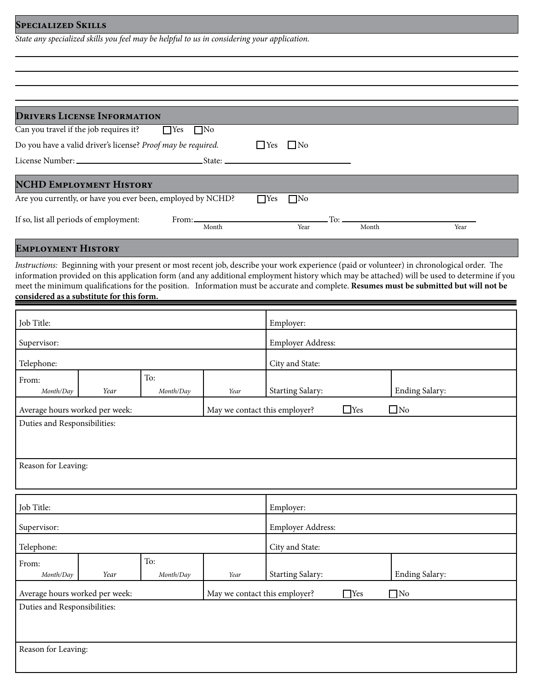### **Specialized Skills**

*State any specialized skills you feel may be helpful to us in considering your application.*

| <b>DRIVERS LICENSE INFORMATION</b>                                |                                |
|-------------------------------------------------------------------|--------------------------------|
| Can you travel if the job requires it?<br>$\Box$ Yes<br>$\Box$ No |                                |
| Do you have a valid driver's license? Proof may be required.      | $\Box$ No<br>l Yes             |
|                                                                   |                                |
| <b>NCHD EMPLOYMENT HISTORY</b>                                    |                                |
| Are you currently, or have you ever been, employed by NCHD?       | $\Box$ No<br>$\Box$ Yes        |
| If so, list all periods of employment:<br>Month                   | To: —<br>Month<br>Year<br>Year |

## **Employment History**

*Instructions:* Beginning with your present or most recent job, describe your work experience (paid or volunteer) in chronological order. The information provided on this application form (and any additional employment history which may be attached) will be used to determine if you meet the minimum qualifications for the position. Information must be accurate and complete. **Resumes must be submitted but will not be considered as a substitute for this form.**

| Job Title:                                                      |                                                                 |           | Employer:         |                            |  |                       |
|-----------------------------------------------------------------|-----------------------------------------------------------------|-----------|-------------------|----------------------------|--|-----------------------|
| Supervisor:                                                     |                                                                 |           | Employer Address: |                            |  |                       |
| Telephone:                                                      |                                                                 |           |                   | City and State:            |  |                       |
| From:                                                           |                                                                 | To:       |                   |                            |  |                       |
| Month/Day                                                       | Year                                                            | Month/Day | Year              | Starting Salary:           |  | <b>Ending Salary:</b> |
|                                                                 | Average hours worked per week:<br>May we contact this employer? |           |                   | $\Box$ Yes<br>$\square$ No |  |                       |
| Duties and Responsibilities:                                    |                                                                 |           |                   |                            |  |                       |
|                                                                 |                                                                 |           |                   |                            |  |                       |
| Reason for Leaving:                                             |                                                                 |           |                   |                            |  |                       |
| Job Title:                                                      |                                                                 |           |                   | Employer:                  |  |                       |
| Supervisor:                                                     |                                                                 |           |                   | Employer Address:          |  |                       |
| Telephone:                                                      |                                                                 |           |                   | City and State:            |  |                       |
| From:                                                           |                                                                 | To:       |                   |                            |  |                       |
| Month/Day                                                       | Year                                                            | Month/Day | Year              | Starting Salary:           |  | <b>Ending Salary:</b> |
| Average hours worked per week:<br>May we contact this employer? |                                                                 |           | $\Box$ Yes        | $\Box$ No                  |  |                       |
| Duties and Responsibilities:                                    |                                                                 |           |                   |                            |  |                       |
|                                                                 |                                                                 |           |                   |                            |  |                       |
| Reason for Leaving:                                             |                                                                 |           |                   |                            |  |                       |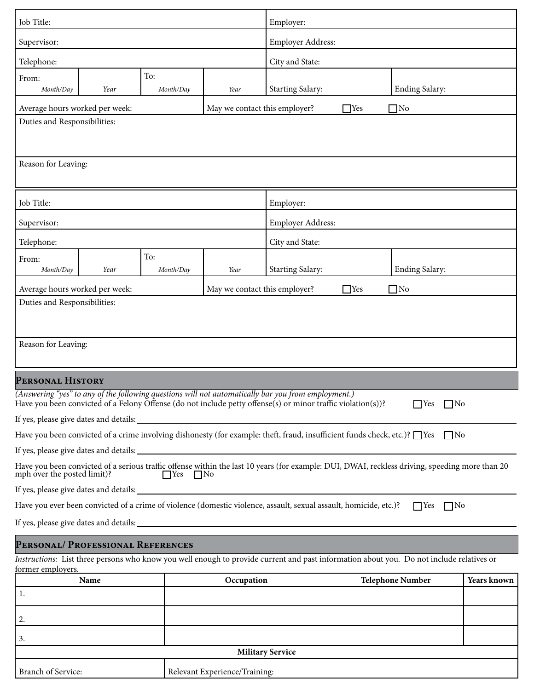| Job Title:                                                                                                                                                                                                          |           | Employer:                     |                                                  |            |                         |             |
|---------------------------------------------------------------------------------------------------------------------------------------------------------------------------------------------------------------------|-----------|-------------------------------|--------------------------------------------------|------------|-------------------------|-------------|
| Supervisor:                                                                                                                                                                                                         |           |                               | Employer Address:                                |            |                         |             |
| Telephone:                                                                                                                                                                                                          |           | City and State:               |                                                  |            |                         |             |
| To:<br>From:<br>Month/Day<br>Year                                                                                                                                                                                   | Month/Day | Year                          | <b>Ending Salary:</b><br><b>Starting Salary:</b> |            |                         |             |
| Average hours worked per week:                                                                                                                                                                                      |           | May we contact this employer? |                                                  | $\Box$ Yes | $\square$ No            |             |
| Duties and Responsibilities:<br>Reason for Leaving:                                                                                                                                                                 |           |                               |                                                  |            |                         |             |
|                                                                                                                                                                                                                     |           |                               |                                                  |            |                         |             |
| Job Title:                                                                                                                                                                                                          |           |                               | Employer:                                        |            |                         |             |
| Supervisor:                                                                                                                                                                                                         |           |                               | Employer Address:                                |            |                         |             |
| Telephone:                                                                                                                                                                                                          |           |                               | City and State:                                  |            |                         |             |
| To:<br>From:<br>Year<br>Month/Day                                                                                                                                                                                   | Month/Day | Year                          | <b>Starting Salary:</b>                          |            | Ending Salary:          |             |
| Average hours worked per week:                                                                                                                                                                                      |           | May we contact this employer? |                                                  | $\Box$ Yes | $\Box$ No               |             |
| Duties and Responsibilities:<br>Reason for Leaving:                                                                                                                                                                 |           |                               |                                                  |            |                         |             |
| PERSONAL HISTORY                                                                                                                                                                                                    |           |                               |                                                  |            |                         |             |
| (Answering "yes" to any of the following questions will not automatically bar you from employment.)<br>Have you been convicted of a Felony Offense (do not include petty offense(s) or minor traffic violation(s))? |           |                               |                                                  |            | $\Box$ Yes<br>$\Box$ No |             |
|                                                                                                                                                                                                                     |           |                               |                                                  |            |                         |             |
| Have you been convicted of a crime involving dishonesty (for example: theft, fraud, insufficient funds check, etc.)? $\Box$ Yes $\Box$ No                                                                           |           |                               |                                                  |            |                         |             |
|                                                                                                                                                                                                                     |           |                               |                                                  |            |                         |             |
| Have you been convicted of a serious traffic offense within the last 10 years (for example: DUI, DWAI, reckless driving, speeding more than 20<br>mph over the posted limit)?<br>$\Box$ Yes $\Box$ No               |           |                               |                                                  |            |                         |             |
|                                                                                                                                                                                                                     |           |                               |                                                  |            |                         |             |
| Have you ever been convicted of a crime of violence (domestic violence, assault, sexual assault, homicide, etc.)?<br>$\Box$ Yes $\Box$ No                                                                           |           |                               |                                                  |            |                         |             |
|                                                                                                                                                                                                                     |           |                               |                                                  |            |                         |             |
| PERSONAL/ PROFESSIONAL REFERENCES                                                                                                                                                                                   |           |                               |                                                  |            |                         |             |
| Instructions: List three persons who know you well enough to provide current and past information about you. Do not include relatives or<br>former employers.                                                       |           |                               |                                                  |            |                         |             |
| Name                                                                                                                                                                                                                |           | Occupation                    |                                                  |            | <b>Telephone Number</b> | Years known |
| 1.                                                                                                                                                                                                                  |           |                               |                                                  |            |                         |             |
| 2.                                                                                                                                                                                                                  |           |                               |                                                  |            |                         |             |
| 3.                                                                                                                                                                                                                  |           |                               |                                                  |            |                         |             |
|                                                                                                                                                                                                                     |           |                               |                                                  |            |                         |             |

| Branch of Service: | Relevant Experience/Training: |
|--------------------|-------------------------------|
|                    |                               |